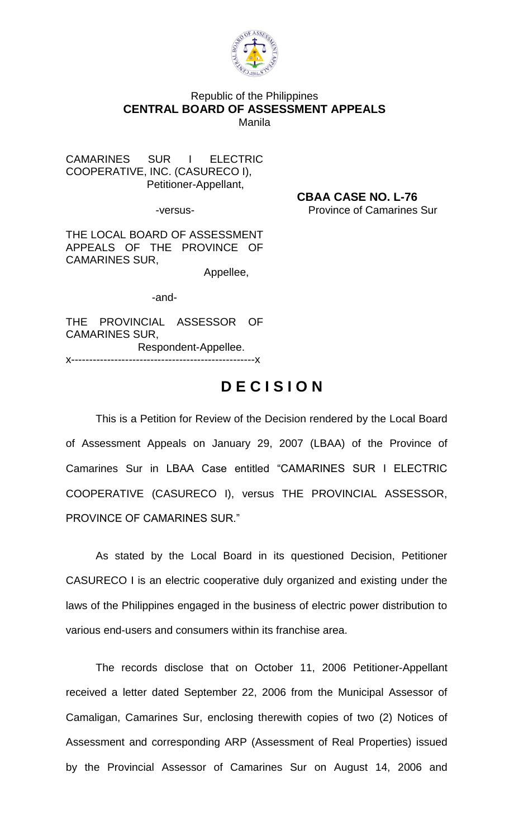

## Republic of the Philippines **CENTRAL BOARD OF ASSESSMENT APPEALS** Manila

CAMARINES SUR I ELECTRIC COOPERATIVE, INC. (CASURECO I), Petitioner-Appellant,

 **CBAA CASE NO. L-76** -versus- Province of Camarines Sur

THE LOCAL BOARD OF ASSESSMENT APPEALS OF THE PROVINCE OF CAMARINES SUR,

Appellee,

-and-

THE PROVINCIAL ASSESSOR OF CAMARINES SUR, Respondent-Appellee.

x---------------------------------------------------x

## **D E C I S I O N**

This is a Petition for Review of the Decision rendered by the Local Board of Assessment Appeals on January 29, 2007 (LBAA) of the Province of Camarines Sur in LBAA Case entitled "CAMARINES SUR I ELECTRIC COOPERATIVE (CASURECO I), versus THE PROVINCIAL ASSESSOR, PROVINCE OF CAMARINES SUR."

As stated by the Local Board in its questioned Decision, Petitioner CASURECO I is an electric cooperative duly organized and existing under the laws of the Philippines engaged in the business of electric power distribution to various end-users and consumers within its franchise area.

The records disclose that on October 11, 2006 Petitioner-Appellant received a letter dated September 22, 2006 from the Municipal Assessor of Camaligan, Camarines Sur, enclosing therewith copies of two (2) Notices of Assessment and corresponding ARP (Assessment of Real Properties) issued by the Provincial Assessor of Camarines Sur on August 14, 2006 and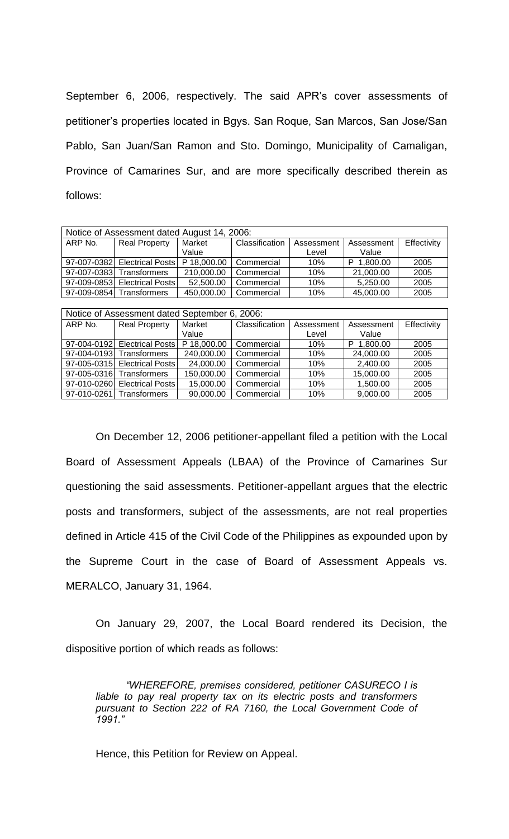September 6, 2006, respectively. The said APR's cover assessments of petitioner's properties located in Bgys. San Roque, San Marcos, San Jose/San Pablo, San Juan/San Ramon and Sto. Domingo, Municipality of Camaligan, Province of Camarines Sur, and are more specifically described therein as follows:

| Notice of Assessment dated August 14, 2006: |                                            |            |                |            |               |             |  |  |  |
|---------------------------------------------|--------------------------------------------|------------|----------------|------------|---------------|-------------|--|--|--|
| ARP No.                                     | <b>Real Property</b>                       | Market     | Classification | Assessment | Assessment    | Effectivity |  |  |  |
|                                             |                                            | Value      |                | Level      | Value         |             |  |  |  |
|                                             | 97-007-0382 Electrical Posts   P 18,000.00 |            | Commercial     | 10%        | 1.800.00<br>P | 2005        |  |  |  |
|                                             | 97-007-0383 Transformers                   | 210,000.00 | Commercial     | 10%        | 21,000.00     | 2005        |  |  |  |
|                                             | 97-009-0853 Electrical Posts               | 52,500.00  | Commercial     | 10%        | 5,250.00      | 2005        |  |  |  |
| 97-009-0854                                 | Transformers                               | 450,000.00 | Commercial     | 10%        | 45,000.00     | 2005        |  |  |  |

| Notice of Assessment dated September 6, 2006: |                              |             |                |            |               |             |  |  |  |  |
|-----------------------------------------------|------------------------------|-------------|----------------|------------|---------------|-------------|--|--|--|--|
| ARP No.                                       | <b>Real Property</b>         | Market      | Classification | Assessment | Assessment    | Effectivity |  |  |  |  |
|                                               |                              | Value       |                | Level      | Value         |             |  |  |  |  |
|                                               | 97-004-0192 Electrical Posts | P 18,000.00 | Commercial     | 10%        | 1,800.00<br>P | 2005        |  |  |  |  |
|                                               | 97-004-0193 Transformers     | 240,000.00  | Commercial     | 10%        | 24,000.00     | 2005        |  |  |  |  |
|                                               | 97-005-0315 Electrical Posts | 24,000.00   | Commercial     | 10%        | 2,400.00      | 2005        |  |  |  |  |
|                                               | 97-005-0316 Transformers     | 150,000.00  | Commercial     | 10%        | 15,000.00     | 2005        |  |  |  |  |
|                                               | 97-010-0260 Electrical Posts | 15,000.00   | Commercial     | 10%        | 1,500.00      | 2005        |  |  |  |  |
| 97-010-0261                                   | Transformers                 | 90,000.00   | Commercial     | 10%        | 9,000.00      | 2005        |  |  |  |  |

On December 12, 2006 petitioner-appellant filed a petition with the Local Board of Assessment Appeals (LBAA) of the Province of Camarines Sur questioning the said assessments. Petitioner-appellant argues that the electric posts and transformers, subject of the assessments, are not real properties defined in Article 415 of the Civil Code of the Philippines as expounded upon by the Supreme Court in the case of Board of Assessment Appeals vs. MERALCO, January 31, 1964.

On January 29, 2007, the Local Board rendered its Decision, the dispositive portion of which reads as follows:

*"WHEREFORE, premises considered, petitioner CASURECO I is liable to pay real property tax on its electric posts and transformers pursuant to Section 222 of RA 7160, the Local Government Code of 1991."*

Hence, this Petition for Review on Appeal.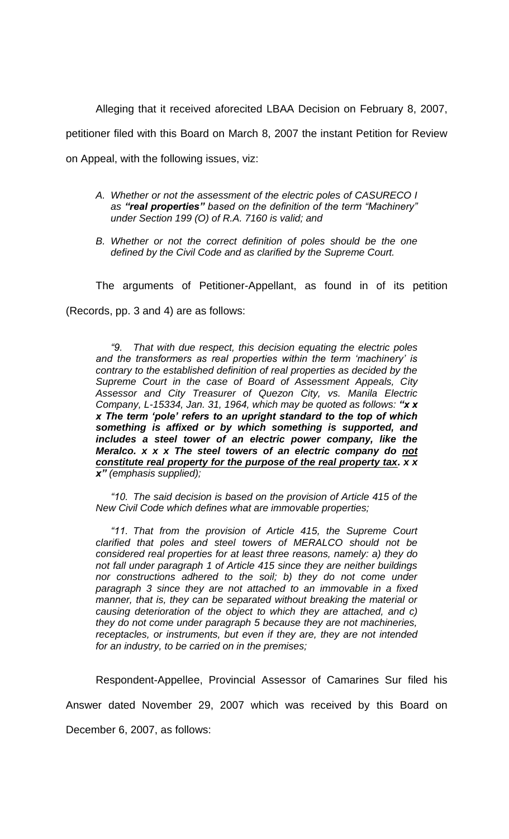Alleging that it received aforecited LBAA Decision on February 8, 2007, petitioner filed with this Board on March 8, 2007 the instant Petition for Review on Appeal, with the following issues, viz:

- *A. Whether or not the assessment of the electric poles of CASURECO I as "real properties" based on the definition of the term "Machinery" under Section 199 (O) of R.A. 7160 is valid; and*
- *B. Whether or not the correct definition of poles should be the one defined by the Civil Code and as clarified by the Supreme Court.*

The arguments of Petitioner-Appellant, as found in of its petition (Records, pp. 3 and 4) are as follows:

*"9. That with due respect, this decision equating the electric poles and the transformers as real properties within the term 'machinery' is contrary to the established definition of real properties as decided by the Supreme Court in the case of Board of Assessment Appeals, City Assessor and City Treasurer of Quezon City, vs. Manila Electric Company, L-15334, Jan. 31, 1964, which may be quoted as follows: "x x x The term 'pole' refers to an upright standard to the top of which something is affixed or by which something is supported, and includes a steel tower of an electric power company, like the Meralco. x x x The steel towers of an electric company do not constitute real property for the purpose of the real property tax. x x x" (emphasis supplied);*

*"10. The said decision is based on the provision of Article 415 of the New Civil Code which defines what are immovable properties;*

*"11. That from the provision of Article 415, the Supreme Court clarified that poles and steel towers of MERALCO should not be considered real properties for at least three reasons, namely: a) they do not fall under paragraph 1 of Article 415 since they are neither buildings nor constructions adhered to the soil; b) they do not come under paragraph 3 since they are not attached to an immovable in a fixed manner, that is, they can be separated without breaking the material or causing deterioration of the object to which they are attached, and c) they do not come under paragraph 5 because they are not machineries, receptacles, or instruments, but even if they are, they are not intended for an industry, to be carried on in the premises;*

Respondent-Appellee, Provincial Assessor of Camarines Sur filed his Answer dated November 29, 2007 which was received by this Board on December 6, 2007, as follows: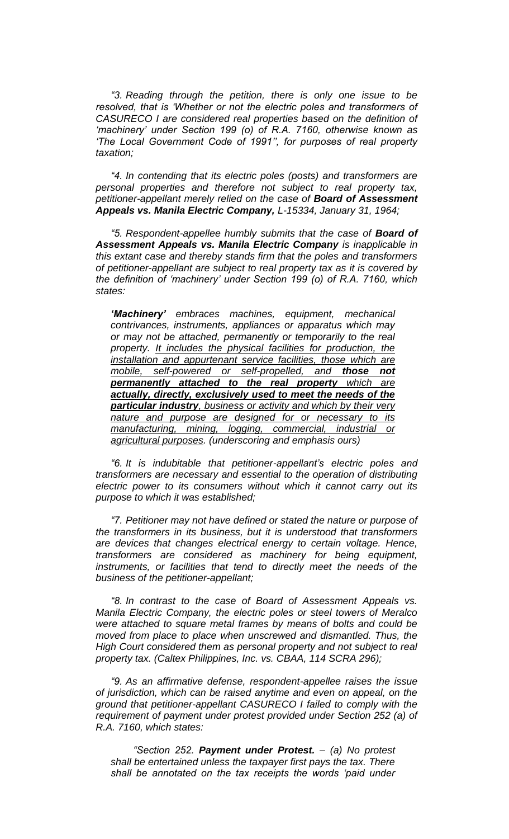*"3. Reading through the petition, there is only one issue to be resolved, that is 'Whether or not the electric poles and transformers of CASURECO I are considered real properties based on the definition of 'machinery' under Section 199 (o) of R.A. 7160, otherwise known as 'The Local Government Code of 1991'', for purposes of real property taxation;*

*"4. In contending that its electric poles (posts) and transformers are personal properties and therefore not subject to real property tax, petitioner-appellant merely relied on the case of Board of Assessment Appeals vs. Manila Electric Company, L-15334, January 31, 1964;*

*"5. Respondent-appellee humbly submits that the case of Board of Assessment Appeals vs. Manila Electric Company is inapplicable in this extant case and thereby stands firm that the poles and transformers of petitioner-appellant are subject to real property tax as it is covered by the definition of 'machinery' under Section 199 (o) of R.A. 7160, which states:*

*'Machinery' embraces machines, equipment, mechanical contrivances, instruments, appliances or apparatus which may or may not be attached, permanently or temporarily to the real property. It includes the physical facilities for production, the installation and appurtenant service facilities, those which are mobile, self-powered or self-propelled, and those not permanently attached to the real property which are actually, directly, exclusively used to meet the needs of the particular industry, business or activity and which by their very nature and purpose are designed for or necessary to its manufacturing, mining, logging, commercial, industrial or agricultural purposes. (underscoring and emphasis ours)*

*"6. It is indubitable that petitioner-appellant's electric poles and transformers are necessary and essential to the operation of distributing electric power to its consumers without which it cannot carry out its purpose to which it was established;*

*"7. Petitioner may not have defined or stated the nature or purpose of the transformers in its business, but it is understood that transformers are devices that changes electrical energy to certain voltage. Hence, transformers are considered as machinery for being equipment, instruments, or facilities that tend to directly meet the needs of the business of the petitioner-appellant;*

*"8. In contrast to the case of Board of Assessment Appeals vs. Manila Electric Company, the electric poles or steel towers of Meralco were attached to square metal frames by means of bolts and could be moved from place to place when unscrewed and dismantled. Thus, the High Court considered them as personal property and not subject to real property tax. (Caltex Philippines, Inc. vs. CBAA, 114 SCRA 296);*

*"9. As an affirmative defense, respondent-appellee raises the issue of jurisdiction, which can be raised anytime and even on appeal, on the ground that petitioner-appellant CASURECO I failed to comply with the requirement of payment under protest provided under Section 252 (a) of R.A. 7160, which states:*

*"Section 252. Payment under Protest. – (a) No protest shall be entertained unless the taxpayer first pays the tax. There shall be annotated on the tax receipts the words 'paid under*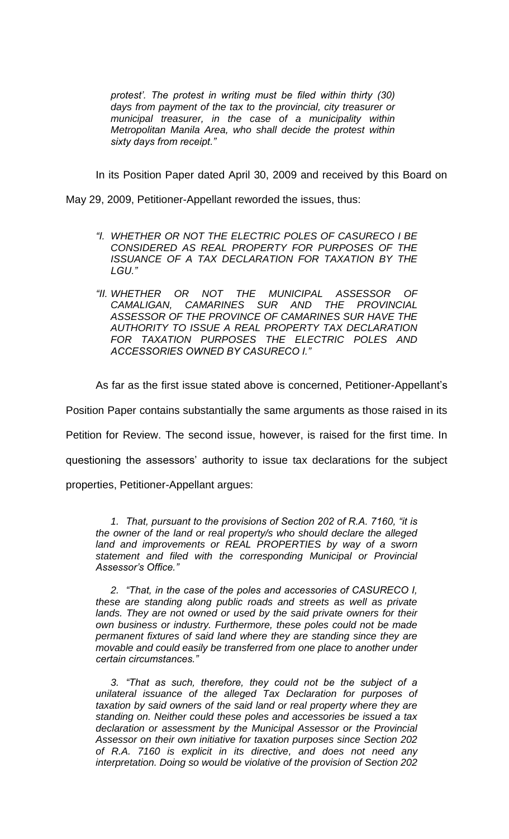*protest'. The protest in writing must be filed within thirty (30) days from payment of the tax to the provincial, city treasurer or municipal treasurer, in the case of a municipality within Metropolitan Manila Area, who shall decide the protest within sixty days from receipt."*

In its Position Paper dated April 30, 2009 and received by this Board on

May 29, 2009, Petitioner-Appellant reworded the issues, thus:

- *"I. WHETHER OR NOT THE ELECTRIC POLES OF CASURECO I BE CONSIDERED AS REAL PROPERTY FOR PURPOSES OF THE ISSUANCE OF A TAX DECLARATION FOR TAXATION BY THE LGU."*
- *"II. WHETHER OR NOT THE MUNICIPAL ASSESSOR OF CAMALIGAN, CAMARINES SUR AND THE PROVINCIAL ASSESSOR OF THE PROVINCE OF CAMARINES SUR HAVE THE AUTHORITY TO ISSUE A REAL PROPERTY TAX DECLARATION FOR TAXATION PURPOSES THE ELECTRIC POLES AND ACCESSORIES OWNED BY CASURECO I."*

As far as the first issue stated above is concerned, Petitioner-Appellant's

Position Paper contains substantially the same arguments as those raised in its

Petition for Review. The second issue, however, is raised for the first time. In

questioning the assessors' authority to issue tax declarations for the subject

properties, Petitioner-Appellant argues:

*1. That, pursuant to the provisions of Section 202 of R.A. 7160, "it is the owner of the land or real property/s who should declare the alleged land and improvements or REAL PROPERTIES by way of a sworn statement and filed with the corresponding Municipal or Provincial Assessor's Office."*

*2. "That, in the case of the poles and accessories of CASURECO I, these are standing along public roads and streets as well as private* lands. They are not owned or used by the said private owners for their *own business or industry. Furthermore, these poles could not be made permanent fixtures of said land where they are standing since they are movable and could easily be transferred from one place to another under certain circumstances."*

*3. "That as such, therefore, they could not be the subject of a unilateral issuance of the alleged Tax Declaration for purposes of taxation by said owners of the said land or real property where they are standing on. Neither could these poles and accessories be issued a tax declaration or assessment by the Municipal Assessor or the Provincial Assessor on their own initiative for taxation purposes since Section 202 of R.A. 7160 is explicit in its directive, and does not need any interpretation. Doing so would be violative of the provision of Section 202*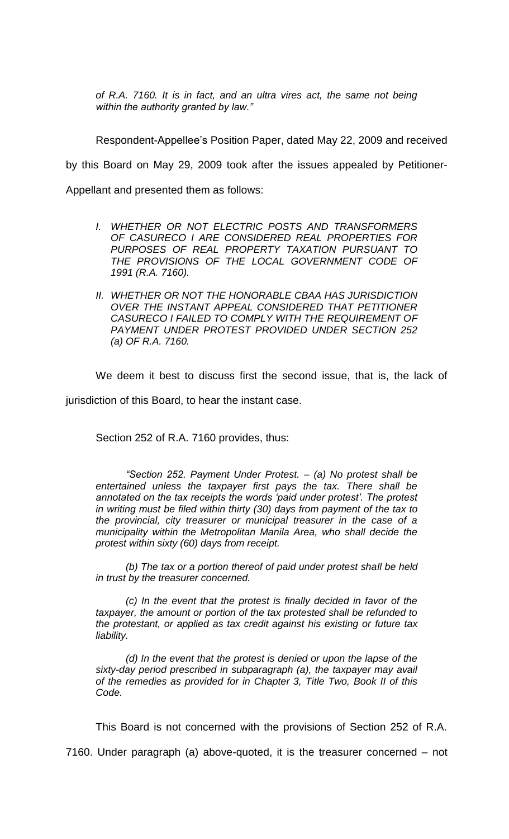*of R.A. 7160. It is in fact, and an ultra vires act, the same not being within the authority granted by law."*

Respondent-Appellee's Position Paper, dated May 22, 2009 and received by this Board on May 29, 2009 took after the issues appealed by Petitioner-Appellant and presented them as follows:

- *I. WHETHER OR NOT ELECTRIC POSTS AND TRANSFORMERS OF CASURECO I ARE CONSIDERED REAL PROPERTIES FOR PURPOSES OF REAL PROPERTY TAXATION PURSUANT TO THE PROVISIONS OF THE LOCAL GOVERNMENT CODE OF 1991 (R.A. 7160).*
- *II. WHETHER OR NOT THE HONORABLE CBAA HAS JURISDICTION OVER THE INSTANT APPEAL CONSIDERED THAT PETITIONER CASURECO I FAILED TO COMPLY WITH THE REQUIREMENT OF PAYMENT UNDER PROTEST PROVIDED UNDER SECTION 252 (a) OF R.A. 7160.*

We deem it best to discuss first the second issue, that is, the lack of jurisdiction of this Board, to hear the instant case.

Section 252 of R.A. 7160 provides, thus:

*"Section 252. Payment Under Protest. – (a) No protest shall be entertained unless the taxpayer first pays the tax. There shall be annotated on the tax receipts the words 'paid under protest'. The protest in writing must be filed within thirty (30) days from payment of the tax to the provincial, city treasurer or municipal treasurer in the case of a municipality within the Metropolitan Manila Area, who shall decide the protest within sixty (60) days from receipt.*

*(b) The tax or a portion thereof of paid under protest shall be held in trust by the treasurer concerned.*

*(c) In the event that the protest is finally decided in favor of the taxpayer, the amount or portion of the tax protested shall be refunded to the protestant, or applied as tax credit against his existing or future tax liability.*

*(d) In the event that the protest is denied or upon the lapse of the sixty-day period prescribed in subparagraph (a), the taxpayer may avail of the remedies as provided for in Chapter 3, Title Two, Book II of this Code.*

This Board is not concerned with the provisions of Section 252 of R.A.

7160. Under paragraph (a) above-quoted, it is the treasurer concerned – not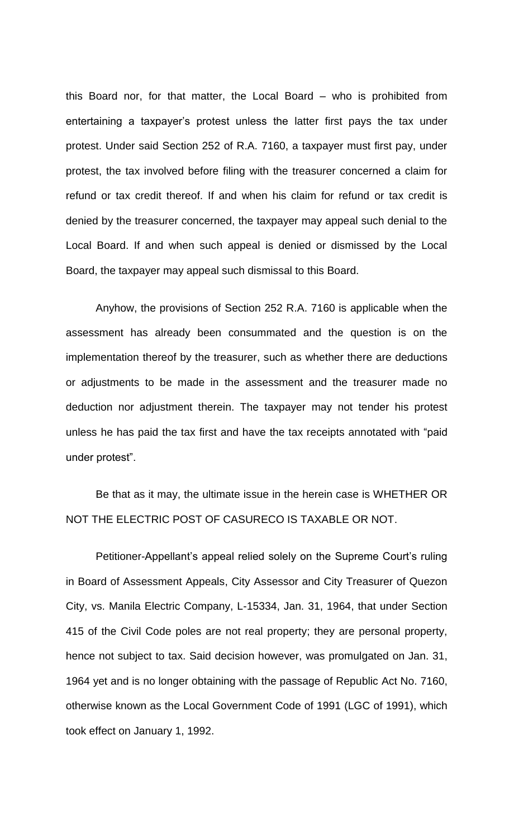this Board nor, for that matter, the Local Board – who is prohibited from entertaining a taxpayer's protest unless the latter first pays the tax under protest. Under said Section 252 of R.A. 7160, a taxpayer must first pay, under protest, the tax involved before filing with the treasurer concerned a claim for refund or tax credit thereof. If and when his claim for refund or tax credit is denied by the treasurer concerned, the taxpayer may appeal such denial to the Local Board. If and when such appeal is denied or dismissed by the Local Board, the taxpayer may appeal such dismissal to this Board.

Anyhow, the provisions of Section 252 R.A. 7160 is applicable when the assessment has already been consummated and the question is on the implementation thereof by the treasurer, such as whether there are deductions or adjustments to be made in the assessment and the treasurer made no deduction nor adjustment therein. The taxpayer may not tender his protest unless he has paid the tax first and have the tax receipts annotated with "paid under protest".

Be that as it may, the ultimate issue in the herein case is WHETHER OR NOT THE ELECTRIC POST OF CASURECO IS TAXABLE OR NOT.

Petitioner-Appellant's appeal relied solely on the Supreme Court's ruling in Board of Assessment Appeals, City Assessor and City Treasurer of Quezon City, vs. Manila Electric Company, L-15334, Jan. 31, 1964, that under Section 415 of the Civil Code poles are not real property; they are personal property, hence not subject to tax. Said decision however, was promulgated on Jan. 31, 1964 yet and is no longer obtaining with the passage of Republic Act No. 7160, otherwise known as the Local Government Code of 1991 (LGC of 1991), which took effect on January 1, 1992.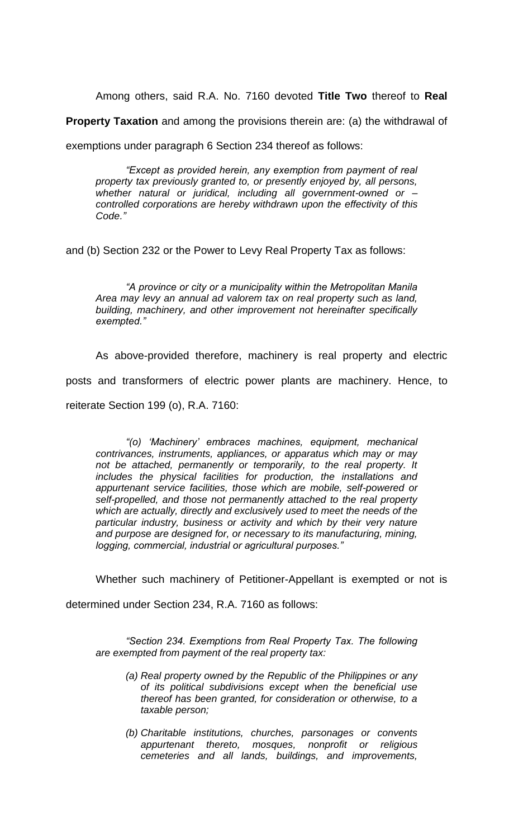Among others, said R.A. No. 7160 devoted **Title Two** thereof to **Real** 

**Property Taxation** and among the provisions therein are: (a) the withdrawal of

exemptions under paragraph 6 Section 234 thereof as follows:

*"Except as provided herein, any exemption from payment of real property tax previously granted to, or presently enjoyed by, all persons, whether natural or juridical, including all government-owned or – controlled corporations are hereby withdrawn upon the effectivity of this Code."*

and (b) Section 232 or the Power to Levy Real Property Tax as follows:

 *"A province or city or a municipality within the Metropolitan Manila Area may levy an annual ad valorem tax on real property such as land, building, machinery, and other improvement not hereinafter specifically exempted."*

As above-provided therefore, machinery is real property and electric posts and transformers of electric power plants are machinery. Hence, to reiterate Section 199 (o), R.A. 7160:

*"(o) 'Machinery' embraces machines, equipment, mechanical contrivances, instruments, appliances, or apparatus which may or may not be attached, permanently or temporarily, to the real property. It includes the physical facilities for production, the installations and appurtenant service facilities, those which are mobile, self-powered or self-propelled, and those not permanently attached to the real property which are actually, directly and exclusively used to meet the needs of the particular industry, business or activity and which by their very nature and purpose are designed for, or necessary to its manufacturing, mining, logging, commercial, industrial or agricultural purposes."*

Whether such machinery of Petitioner-Appellant is exempted or not is

determined under Section 234, R.A. 7160 as follows:

*"Section 234. Exemptions from Real Property Tax. The following are exempted from payment of the real property tax:*

- *(a) Real property owned by the Republic of the Philippines or any of its political subdivisions except when the beneficial use thereof has been granted, for consideration or otherwise, to a taxable person;*
- *(b) Charitable institutions, churches, parsonages or convents appurtenant thereto, mosques, nonprofit or religious cemeteries and all lands, buildings, and improvements,*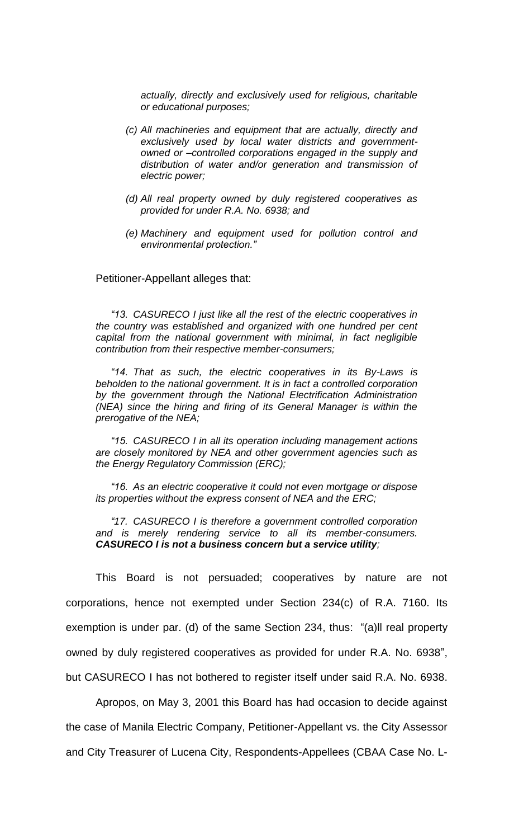*actually, directly and exclusively used for religious, charitable or educational purposes;*

- *(c) All machineries and equipment that are actually, directly and exclusively used by local water districts and governmentowned or –controlled corporations engaged in the supply and distribution of water and/or generation and transmission of electric power;*
- *(d) All real property owned by duly registered cooperatives as provided for under R.A. No. 6938; and*
- *(e) Machinery and equipment used for pollution control and environmental protection."*

Petitioner-Appellant alleges that:

*"13. CASURECO I just like all the rest of the electric cooperatives in the country was established and organized with one hundred per cent capital from the national government with minimal, in fact negligible contribution from their respective member-consumers;*

*"14. That as such, the electric cooperatives in its By-Laws is beholden to the national government. It is in fact a controlled corporation by the government through the National Electrification Administration (NEA) since the hiring and firing of its General Manager is within the prerogative of the NEA;*

*"15. CASURECO I in all its operation including management actions are closely monitored by NEA and other government agencies such as the Energy Regulatory Commission (ERC);*

*"16. As an electric cooperative it could not even mortgage or dispose its properties without the express consent of NEA and the ERC;*

*"17. CASURECO I is therefore a government controlled corporation and is merely rendering service to all its member-consumers. CASURECO I is not a business concern but a service utility;*

This Board is not persuaded; cooperatives by nature are not corporations, hence not exempted under Section 234(c) of R.A. 7160. Its exemption is under par. (d) of the same Section 234, thus: "(a)ll real property owned by duly registered cooperatives as provided for under R.A. No. 6938", but CASURECO I has not bothered to register itself under said R.A. No. 6938.

Apropos, on May 3, 2001 this Board has had occasion to decide against the case of Manila Electric Company, Petitioner-Appellant vs. the City Assessor and City Treasurer of Lucena City, Respondents-Appellees (CBAA Case No. L-